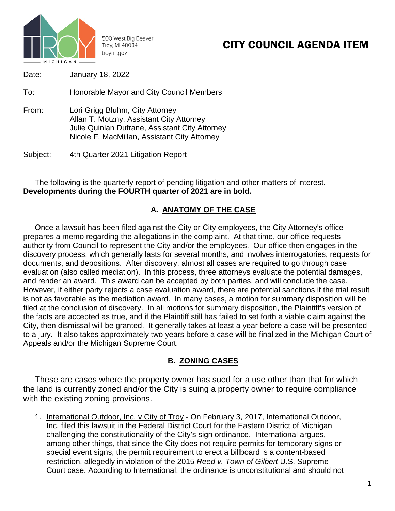

# CITY COUNCIL AGENDA ITEM

| Date:    | January 18, 2022                                                                                                                                                              |
|----------|-------------------------------------------------------------------------------------------------------------------------------------------------------------------------------|
| To:      | Honorable Mayor and City Council Members                                                                                                                                      |
| From:    | Lori Grigg Bluhm, City Attorney<br>Allan T. Motzny, Assistant City Attorney<br>Julie Quinlan Dufrane, Assistant City Attorney<br>Nicole F. MacMillan, Assistant City Attorney |
| Subject: | 4th Quarter 2021 Litigation Report                                                                                                                                            |

The following is the quarterly report of pending litigation and other matters of interest. **Developments during the FOURTH quarter of 2021 are in bold.**

#### **A. ANATOMY OF THE CASE**

Once a lawsuit has been filed against the City or City employees, the City Attorney's office prepares a memo regarding the allegations in the complaint. At that time, our office requests authority from Council to represent the City and/or the employees. Our office then engages in the discovery process, which generally lasts for several months, and involves interrogatories, requests for documents, and depositions. After discovery, almost all cases are required to go through case evaluation (also called mediation). In this process, three attorneys evaluate the potential damages, and render an award. This award can be accepted by both parties, and will conclude the case. However, if either party rejects a case evaluation award, there are potential sanctions if the trial result is not as favorable as the mediation award. In many cases, a motion for summary disposition will be filed at the conclusion of discovery. In all motions for summary disposition, the Plaintiff's version of the facts are accepted as true, and if the Plaintiff still has failed to set forth a viable claim against the City, then dismissal will be granted. It generally takes at least a year before a case will be presented to a jury. It also takes approximately two years before a case will be finalized in the Michigan Court of Appeals and/or the Michigan Supreme Court.

#### **B. ZONING CASES**

These are cases where the property owner has sued for a use other than that for which the land is currently zoned and/or the City is suing a property owner to require compliance with the existing zoning provisions.

1. International Outdoor, Inc. v City of Troy - On February 3, 2017, International Outdoor, Inc. filed this lawsuit in the Federal District Court for the Eastern District of Michigan challenging the constitutionality of the City's sign ordinance. International argues, among other things, that since the City does not require permits for temporary signs or special event signs, the permit requirement to erect a billboard is a content-based restriction, allegedly in violation of the 2015 *Reed v. Town of Gilbert* U.S. Supreme Court case. According to International, the ordinance is unconstitutional and should not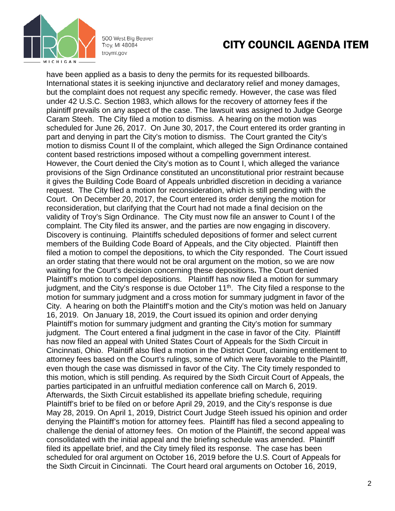

### CITY COUNCIL AGENDA ITEM

have been applied as a basis to deny the permits for its requested billboards. International states it is seeking injunctive and declaratory relief and money damages, but the complaint does not request any specific remedy. However, the case was filed under 42 U.S.C. Section 1983, which allows for the recovery of attorney fees if the plaintiff prevails on any aspect of the case. The lawsuit was assigned to Judge George Caram Steeh. The City filed a motion to dismiss. A hearing on the motion was scheduled for June 26, 2017. On June 30, 2017, the Court entered its order granting in part and denying in part the City's motion to dismiss. The Court granted the City's motion to dismiss Count II of the complaint, which alleged the Sign Ordinance contained content based restrictions imposed without a compelling government interest. However, the Court denied the City's motion as to Count I, which alleged the variance provisions of the Sign Ordinance constituted an unconstitutional prior restraint because it gives the Building Code Board of Appeals unbridled discretion in deciding a variance request. The City filed a motion for reconsideration, which is still pending with the Court.On December 20, 2017, the Court entered its order denying the motion for reconsideration, but clarifying that the Court had not made a final decision on the validity of Troy's Sign Ordinance. The City must now file an answer to Count I of the complaint. The City filed its answer, and the parties are now engaging in discovery. Discovery is continuing. Plaintiffs scheduled depositions of former and select current members of the Building Code Board of Appeals, and the City objected. Plaintiff then filed a motion to compel the depositions, to which the City responded. The Court issued an order stating that there would not be oral argument on the motion, so we are now waiting for the Court's decision concerning these depositions**.** The Court denied Plaintiff's motion to compel depositions. Plaintiff has now filed a motion for summary judgment, and the City's response is due October 11<sup>th</sup>. The City filed a response to the motion for summary judgment and a cross motion for summary judgment in favor of the City. A hearing on both the Plaintiff's motion and the City's motion was held on January 16, 2019. On January 18, 2019, the Court issued its opinion and order denying Plaintiff's motion for summary judgment and granting the City's motion for summary judgment. The Court entered a final judgment in the case in favor of the City. Plaintiff has now filed an appeal with United States Court of Appeals for the Sixth Circuit in Cincinnati, Ohio. Plaintiff also filed a motion in the District Court, claiming entitlement to attorney fees based on the Court's rulings, some of which were favorable to the Plaintiff, even though the case was dismissed in favor of the City. The City timely responded to this motion, which is still pending. As required by the Sixth Circuit Court of Appeals, the parties participated in an unfruitful mediation conference call on March 6, 2019. Afterwards, the Sixth Circuit established its appellate briefing schedule, requiring Plaintiff's brief to be filed on or before April 29, 2019, and the City's response is due May 28, 2019. On April 1, 2019, District Court Judge Steeh issued his opinion and order denying the Plaintiff's motion for attorney fees. Plaintiff has filed a second appealing to challenge the denial of attorney fees. On motion of the Plaintiff, the second appeal was consolidated with the initial appeal and the briefing schedule was amended. Plaintiff filed its appellate brief, and the City timely filed its response. The case has been scheduled for oral argument on October 16, 2019 before the U.S. Court of Appeals for the Sixth Circuit in Cincinnati. The Court heard oral arguments on October 16, 2019,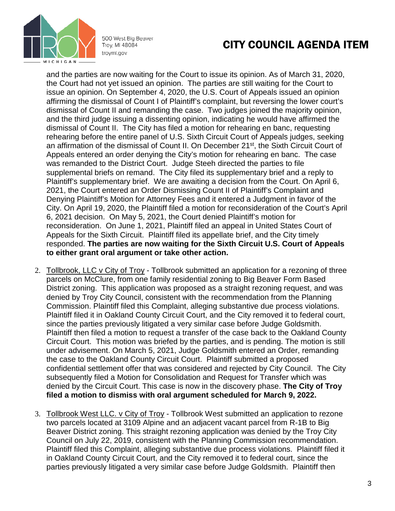

## CITY COUNCIL AGENDA ITEM

and the parties are now waiting for the Court to issue its opinion. As of March 31, 2020, the Court had not yet issued an opinion. The parties are still waiting for the Court to issue an opinion. On September 4, 2020, the U.S. Court of Appeals issued an opinion affirming the dismissal of Count I of Plaintiff's complaint, but reversing the lower court's dismissal of Count II and remanding the case. Two judges joined the majority opinion, and the third judge issuing a dissenting opinion, indicating he would have affirmed the dismissal of Count II. The City has filed a motion for rehearing en banc, requesting rehearing before the entire panel of U.S. Sixth Circuit Court of Appeals judges, seeking an affirmation of the dismissal of Count II. On December 21st, the Sixth Circuit Court of Appeals entered an order denying the City's motion for rehearing en banc. The case was remanded to the District Court. Judge Steeh directed the parties to file supplemental briefs on remand. The City filed its supplementary brief and a reply to Plaintiff's supplementary brief. We are awaiting a decision from the Court. On April 6, 2021, the Court entered an Order Dismissing Count II of Plaintiff's Complaint and Denying Plaintiff's Motion for Attorney Fees and it entered a Judgment in favor of the City. On April 19, 2020, the Plaintiff filed a motion for reconsideration of the Court's April 6, 2021 decision. On May 5, 2021, the Court denied Plaintiff's motion for reconsideration. On June 1, 2021, Plaintiff filed an appeal in United States Court of Appeals for the Sixth Circuit. Plaintiff filed its appellate brief, and the City timely responded. **The parties are now waiting for the Sixth Circuit U.S. Court of Appeals to either grant oral argument or take other action.**

- 2. Tollbrook, LLC v City of Troy Tollbrook submitted an application for a rezoning of three parcels on McClure, from one family residential zoning to Big Beaver Form Based District zoning. This application was proposed as a straight rezoning request, and was denied by Troy City Council, consistent with the recommendation from the Planning Commission. Plaintiff filed this Complaint, alleging substantive due process violations. Plaintiff filed it in Oakland County Circuit Court, and the City removed it to federal court, since the parties previously litigated a very similar case before Judge Goldsmith. Plaintiff then filed a motion to request a transfer of the case back to the Oakland County Circuit Court. This motion was briefed by the parties, and is pending. The motion is still under advisement. On March 5, 2021, Judge Goldsmith entered an Order, remanding the case to the Oakland County Circuit Court. Plaintiff submitted a proposed confidential settlement offer that was considered and rejected by City Council. The City subsequently filed a Motion for Consolidation and Request for Transfer which was denied by the Circuit Court. This case is now in the discovery phase. **The City of Troy filed a motion to dismiss with oral argument scheduled for March 9, 2022.**
- 3. Tollbrook West LLC. v City of Troy Tollbrook West submitted an application to rezone two parcels located at 3109 Alpine and an adjacent vacant parcel from R-1B to Big Beaver District zoning. This straight rezoning application was denied by the Troy City Council on July 22, 2019, consistent with the Planning Commission recommendation. Plaintiff filed this Complaint, alleging substantive due process violations. Plaintiff filed it in Oakland County Circuit Court, and the City removed it to federal court, since the parties previously litigated a very similar case before Judge Goldsmith. Plaintiff then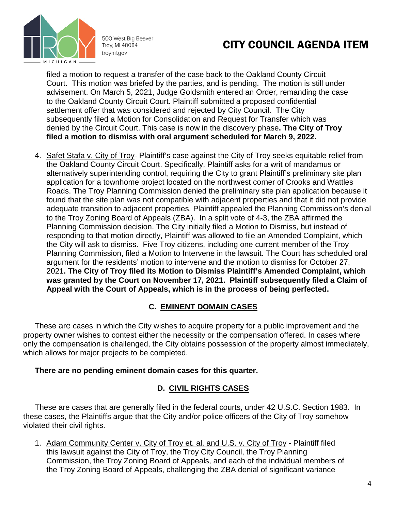

# CITY COUNCIL AGENDA ITEM

filed a motion to request a transfer of the case back to the Oakland County Circuit Court. This motion was briefed by the parties, and is pending. The motion is still under advisement. On March 5, 2021, Judge Goldsmith entered an Order, remanding the case to the Oakland County Circuit Court. Plaintiff submitted a proposed confidential settlement offer that was considered and rejected by City Council. The City subsequently filed a Motion for Consolidation and Request for Transfer which was denied by the Circuit Court. This case is now in the discovery phase**. The City of Troy filed a motion to dismiss with oral argument scheduled for March 9, 2022.** 

4. Safet Stafa v. City of Troy- Plaintiff's case against the City of Troy seeks equitable relief from the Oakland County Circuit Court. Specifically, Plaintiff asks for a writ of mandamus or alternatively superintending control, requiring the City to grant Plaintiff's preliminary site plan application for a townhome project located on the northwest corner of Crooks and Wattles Roads. The Troy Planning Commission denied the preliminary site plan application because it found that the site plan was not compatible with adjacent properties and that it did not provide adequate transition to adjacent properties. Plaintiff appealed the Planning Commission's denial to the Troy Zoning Board of Appeals (ZBA). In a split vote of 4-3, the ZBA affirmed the Planning Commission decision. The City initially filed a Motion to Dismiss, but instead of responding to that motion directly, Plaintiff was allowed to file an Amended Complaint, which the City will ask to dismiss. Five Troy citizens, including one current member of the Troy Planning Commission, filed a Motion to Intervene in the lawsuit. The Court has scheduled oral argument for the residents' motion to intervene and the motion to dismiss for October 27, 2021**. The City of Troy filed its Motion to Dismiss Plaintiff's Amended Complaint, which was granted by the Court on November 17, 2021. Plaintiff subsequently filed a Claim of Appeal with the Court of Appeals, which is in the process of being perfected.** 

#### **C. EMINENT DOMAIN CASES**

These are cases in which the City wishes to acquire property for a public improvement and the property owner wishes to contest either the necessity or the compensation offered. In cases where only the compensation is challenged, the City obtains possession of the property almost immediately, which allows for major projects to be completed.

#### **There are no pending eminent domain cases for this quarter.**

#### **D. CIVIL RIGHTS CASES**

These are cases that are generally filed in the federal courts, under 42 U.S.C. Section 1983. In these cases, the Plaintiffs argue that the City and/or police officers of the City of Troy somehow violated their civil rights.

1. Adam Community Center v. City of Troy et. al. and U.S. v. City of Troy - Plaintiff filed this lawsuit against the City of Troy, the Troy City Council, the Troy Planning Commission, the Troy Zoning Board of Appeals, and each of the individual members of the Troy Zoning Board of Appeals, challenging the ZBA denial of significant variance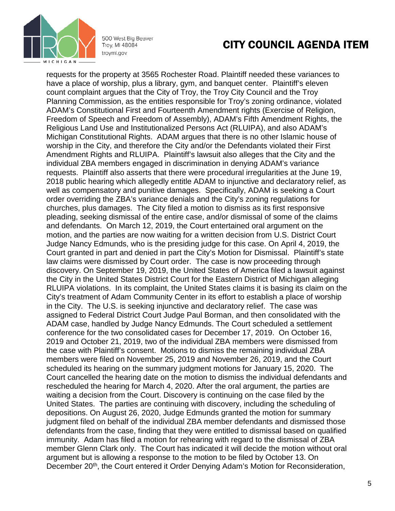

#### CITY COUNCIL AGENDA ITEM

requests for the property at 3565 Rochester Road. Plaintiff needed these variances to have a place of worship, plus a library, gym, and banquet center. Plaintiff's eleven count complaint argues that the City of Troy, the Troy City Council and the Troy Planning Commission, as the entities responsible for Troy's zoning ordinance, violated ADAM's Constitutional First and Fourteenth Amendment rights (Exercise of Religion, Freedom of Speech and Freedom of Assembly), ADAM's Fifth Amendment Rights, the Religious Land Use and Institutionalized Persons Act (RLUIPA), and also ADAM's Michigan Constitutional Rights. ADAM argues that there is no other Islamic house of worship in the City, and therefore the City and/or the Defendants violated their First Amendment Rights and RLUIPA. Plaintiff's lawsuit also alleges that the City and the individual ZBA members engaged in discrimination in denying ADAM's variance requests. Plaintiff also asserts that there were procedural irregularities at the June 19, 2018 public hearing which allegedly entitle ADAM to injunctive and declaratory relief, as well as compensatory and punitive damages. Specifically, ADAM is seeking a Court order overriding the ZBA's variance denials and the City's zoning regulations for churches, plus damages. The City filed a motion to dismiss as its first responsive pleading, seeking dismissal of the entire case, and/or dismissal of some of the claims and defendants. On March 12, 2019, the Court entertained oral argument on the motion, and the parties are now waiting for a written decision from U.S. District Court Judge Nancy Edmunds, who is the presiding judge for this case. On April 4, 2019, the Court granted in part and denied in part the City's Motion for Dismissal. Plaintiff's state law claims were dismissed by Court order. The case is now proceeding through discovery. On September 19, 2019, the United States of America filed a lawsuit against the City in the United States District Court for the Eastern District of Michigan alleging RLUIPA violations. In its complaint, the United States claims it is basing its claim on the City's treatment of Adam Community Center in its effort to establish a place of worship in the City. The U.S. is seeking injunctive and declaratory relief. The case was assigned to Federal District Court Judge Paul Borman, and then consolidated with the ADAM case, handled by Judge Nancy Edmunds. The Court scheduled a settlement conference for the two consolidated cases for December 17, 2019. On October 16, 2019 and October 21, 2019, two of the individual ZBA members were dismissed from the case with Plaintiff's consent. Motions to dismiss the remaining individual ZBA members were filed on November 25, 2019 and November 26, 2019, and the Court scheduled its hearing on the summary judgment motions for January 15, 2020. The Court cancelled the hearing date on the motion to dismiss the individual defendants and rescheduled the hearing for March 4, 2020. After the oral argument, the parties are waiting a decision from the Court. Discovery is continuing on the case filed by the United States. The parties are continuing with discovery, including the scheduling of depositions. On August 26, 2020, Judge Edmunds granted the motion for summary judgment filed on behalf of the individual ZBA member defendants and dismissed those defendants from the case, finding that they were entitled to dismissal based on qualified immunity. Adam has filed a motion for rehearing with regard to the dismissal of ZBA member Glenn Clark only. The Court has indicated it will decide the motion without oral argument but is allowing a response to the motion to be filed by October 13. On December 20<sup>th</sup>, the Court entered it Order Denying Adam's Motion for Reconsideration,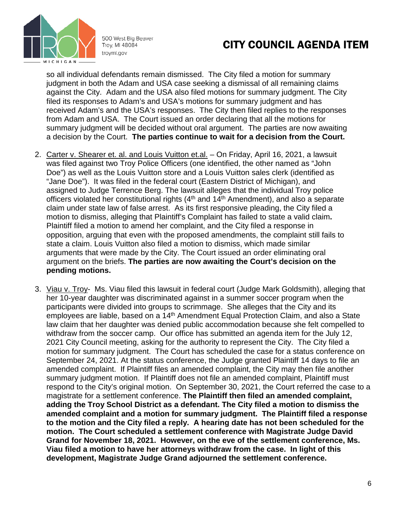

## CITY COUNCIL AGENDA ITEM

so all individual defendants remain dismissed. The City filed a motion for summary judgment in both the Adam and USA case seeking a dismissal of all remaining claims against the City. Adam and the USA also filed motions for summary judgment. The City filed its responses to Adam's and USA's motions for summary judgment and has received Adam's and the USA's responses. The City then filed replies to the responses from Adam and USA. The Court issued an order declaring that all the motions for summary judgment will be decided without oral argument. The parties are now awaiting a decision by the Court. **The parties continue to wait for a decision from the Court.**

- 2. Carter v. Shearer et. al. and Louis Vuitton et.al. On Friday, April 16, 2021, a lawsuit was filed against two Troy Police Officers (one identified, the other named as "John Doe") as well as the Louis Vuitton store and a Louis Vuitton sales clerk (identified as "Jane Doe"). It was filed in the federal court (Eastern District of Michigan), and assigned to Judge Terrence Berg. The lawsuit alleges that the individual Troy police officers violated her constitutional rights  $(4<sup>th</sup>$  and  $14<sup>th</sup>$  Amendment), and also a separate claim under state law of false arrest. As its first responsive pleading, the City filed a motion to dismiss, alleging that Plaintiff's Complaint has failed to state a valid claim**.**  Plaintiff filed a motion to amend her complaint, and the City filed a response in opposition, arguing that even with the proposed amendments, the complaint still fails to state a claim. Louis Vuitton also filed a motion to dismiss, which made similar arguments that were made by the City. The Court issued an order eliminating oral argument on the briefs. **The parties are now awaiting the Court's decision on the pending motions.**
- 3. Viau v. Troy- Ms. Viau filed this lawsuit in federal court (Judge Mark Goldsmith), alleging that her 10-year daughter was discriminated against in a summer soccer program when the participants were divided into groups to scrimmage. She alleges that the City and its employees are liable, based on a 14<sup>th</sup> Amendment Equal Protection Claim, and also a State law claim that her daughter was denied public accommodation because she felt compelled to withdraw from the soccer camp. Our office has submitted an agenda item for the July 12, 2021 City Council meeting, asking for the authority to represent the City. The City filed a motion for summary judgment. The Court has scheduled the case for a status conference on September 24, 2021. At the status conference, the Judge granted Plaintiff 14 days to file an amended complaint. If Plaintiff files an amended complaint, the City may then file another summary judgment motion. If Plaintiff does not file an amended complaint, Plaintiff must respond to the City's original motion. On September 30, 2021, the Court referred the case to a magistrate for a settlement conference. **The Plaintiff then filed an amended complaint, adding the Troy School District as a defendant. The City filed a motion to dismiss the amended complaint and a motion for summary judgment. The Plaintiff filed a response to the motion and the City filed a reply. A hearing date has not been scheduled for the motion. The Court scheduled a settlement conference with Magistrate Judge David Grand for November 18, 2021. However, on the eve of the settlement conference, Ms. Viau filed a motion to have her attorneys withdraw from the case. In light of this development, Magistrate Judge Grand adjourned the settlement conference.**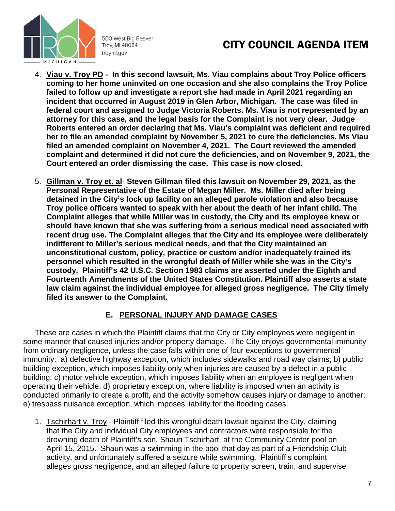

## CITY COUNCIL AGENDA ITEM

- 4. **Viau v. Troy PD In this second lawsuit, Ms. Viau complains about Troy Police officers coming to her home uninvited on one occasion and she also complains the Troy Police failed to follow up and investigate a report she had made in April 2021 regarding an incident that occurred in August 2019 in Glen Arbor, Michigan. The case was filed in federal court and assigned to Judge Victoria Roberts. Ms. Viau is not represented by an attorney for this case, and the legal basis for the Complaint is not very clear. Judge Roberts entered an order declaring that Ms. Viau's complaint was deficient and required her to file an amended complaint by November 5, 2021 to cure the deficiencies. Ms Viau filed an amended complaint on November 4, 2021. The Court reviewed the amended complaint and determined it did not cure the deficiencies, and on November 9, 2021, the Court entered an order dismissing the case. This case is now closed.**
- 5. **Gillman v. Troy et. al Steven Gillman filed this lawsuit on November 29, 2021, as the Personal Representative of the Estate of Megan Miller. Ms. Miller died after being detained in the City's lock up facility on an alleged parole violation and also because Troy police officers wanted to speak with her about the death of her infant child. The Complaint alleges that while Miller was in custody, the City and its employee knew or should have known that she was suffering from a serious medical need associated with recent drug use. The Complaint alleges that the City and its employee were deliberately indifferent to Miller's serious medical needs, and that the City maintained an unconstitutional custom, policy, practice or custom and/or inadequately trained its personnel which resulted in the wrongful death of Miller while she was in the City's custody. Plaintiff's 42 U.S.C. Section 1983 claims are asserted under the Eighth and Fourteenth Amendments of the United States Constitution. Plaintiff also asserts a state law claim against the individual employee for alleged gross negligence. The City timely filed its answer to the Complaint.**

#### **E. PERSONAL INJURY AND DAMAGE CASES**

These are cases in which the Plaintiff claims that the City or City employees were negligent in some manner that caused injuries and/or property damage. The City enjoys governmental immunity from ordinary negligence, unless the case falls within one of four exceptions to governmental immunity: a) defective highway exception, which includes sidewalks and road way claims; b) public building exception, which imposes liability only when injuries are caused by a defect in a public building; c) motor vehicle exception, which imposes liability when an employee is negligent when operating their vehicle; d) proprietary exception, where liability is imposed when an activity is conducted primarily to create a profit, and the activity somehow causes injury or damage to another; e) trespass nuisance exception, which imposes liability for the flooding cases.

1. Tschirhart v. Troy - Plaintiff filed this wrongful death lawsuit against the City, claiming that the City and individual City employees and contractors were responsible for the drowning death of Plaintiff's son, Shaun Tschirhart, at the Community Center pool on April 15, 2015. Shaun was a swimming in the pool that day as part of a Friendship Club activity, and unfortunately suffered a seizure while swimming. Plaintiff's complaint alleges gross negligence, and an alleged failure to property screen, train, and supervise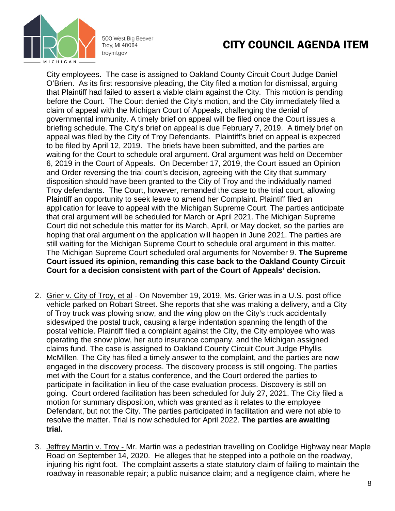

## CITY COUNCIL AGENDA ITEM

City employees. The case is assigned to Oakland County Circuit Court Judge Daniel O'Brien. As its first responsive pleading, the City filed a motion for dismissal, arguing that Plaintiff had failed to assert a viable claim against the City. This motion is pending before the Court. The Court denied the City's motion, and the City immediately filed a claim of appeal with the Michigan Court of Appeals, challenging the denial of governmental immunity. A timely brief on appeal will be filed once the Court issues a briefing schedule. The City's brief on appeal is due February 7, 2019. A timely brief on appeal was filed by the City of Troy Defendants. Plaintiff's brief on appeal is expected to be filed by April 12, 2019. The briefs have been submitted, and the parties are waiting for the Court to schedule oral argument. Oral argument was held on December 6, 2019 in the Court of Appeals. On December 17, 2019, the Court issued an Opinion and Order reversing the trial court's decision, agreeing with the City that summary disposition should have been granted to the City of Troy and the individually named Troy defendants. The Court, however, remanded the case to the trial court, allowing Plaintiff an opportunity to seek leave to amend her Complaint. Plaintiff filed an application for leave to appeal with the Michigan Supreme Court. The parties anticipate that oral argument will be scheduled for March or April 2021. The Michigan Supreme Court did not schedule this matter for its March, April, or May docket, so the parties are hoping that oral argument on the application will happen in June 2021. The parties are still waiting for the Michigan Supreme Court to schedule oral argument in this matter. The Michigan Supreme Court scheduled oral arguments for November 9. **The Supreme Court issued its opinion, remanding this case back to the Oakland County Circuit Court for a decision consistent with part of the Court of Appeals' decision.** 

- 2. Grier v. City of Troy, et al On November 19, 2019, Ms. Grier was in a U.S. post office vehicle parked on Robart Street. She reports that she was making a delivery, and a City of Troy truck was plowing snow, and the wing plow on the City's truck accidentally sideswiped the postal truck, causing a large indentation spanning the length of the postal vehicle. Plaintiff filed a complaint against the City, the City employee who was operating the snow plow, her auto insurance company, and the Michigan assigned claims fund. The case is assigned to Oakland County Circuit Court Judge Phyllis McMillen. The City has filed a timely answer to the complaint, and the parties are now engaged in the discovery process. The discovery process is still ongoing. The parties met with the Court for a status conference, and the Court ordered the parties to participate in facilitation in lieu of the case evaluation process. Discovery is still on going. Court ordered facilitation has been scheduled for July 27, 2021. The City filed a motion for summary disposition, which was granted as it relates to the employee Defendant, but not the City. The parties participated in facilitation and were not able to resolve the matter. Trial is now scheduled for April 2022. **The parties are awaiting trial.**
- 3. Jeffrey Martin v. Troy Mr. Martin was a pedestrian travelling on Coolidge Highway near Maple Road on September 14, 2020. He alleges that he stepped into a pothole on the roadway, injuring his right foot. The complaint asserts a state statutory claim of failing to maintain the roadway in reasonable repair; a public nuisance claim; and a negligence claim, where he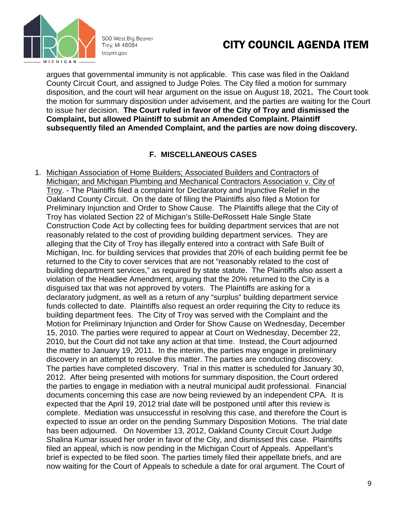

## CITY COUNCIL AGENDA ITEM

argues that governmental immunity is not applicable. This case was filed in the Oakland County Circuit Court, and assigned to Judge Poles. The City filed a motion for summary disposition, and the court will hear argument on the issue on August 18, 2021**.** The Court took the motion for summary disposition under advisement, and the parties are waiting for the Court to issue her decision. **The Court ruled in favor of the City of Troy and dismissed the Complaint, but allowed Plaintiff to submit an Amended Complaint. Plaintiff subsequently filed an Amended Complaint, and the parties are now doing discovery.**

#### **F. MISCELLANEOUS CASES**

1. Michigan Association of Home Builders; Associated Builders and Contractors of Michigan; and Michigan Plumbing and Mechanical Contractors Association v. City of Troy. - The Plaintiffs filed a complaint for Declaratory and Injunctive Relief in the Oakland County Circuit. On the date of filing the Plaintiffs also filed a Motion for Preliminary Injunction and Order to Show Cause. The Plaintiffs allege that the City of Troy has violated Section 22 of Michigan's Stille-DeRossett Hale Single State Construction Code Act by collecting fees for building department services that are not reasonably related to the cost of providing building department services. They are alleging that the City of Troy has illegally entered into a contract with Safe Built of Michigan, Inc. for building services that provides that 20% of each building permit fee be returned to the City to cover services that are not "reasonably related to the cost of building department services," as required by state statute. The Plaintiffs also assert a violation of the Headlee Amendment, arguing that the 20% returned to the City is a disguised tax that was not approved by voters. The Plaintiffs are asking for a declaratory judgment, as well as a return of any "surplus" building department service funds collected to date. Plaintiffs also request an order requiring the City to reduce its building department fees. The City of Troy was served with the Complaint and the Motion for Preliminary Injunction and Order for Show Cause on Wednesday, December 15, 2010. The parties were required to appear at Court on Wednesday, December 22, 2010, but the Court did not take any action at that time. Instead, the Court adjourned the matter to January 19, 2011. In the interim, the parties may engage in preliminary discovery in an attempt to resolve this matter. The parties are conducting discovery. The parties have completed discovery. Trial in this matter is scheduled for January 30, 2012. After being presented with motions for summary disposition, the Court ordered the parties to engage in mediation with a neutral municipal audit professional.Financial documents concerning this case are now being reviewed by an independent CPA. It is expected that the April 19, 2012 trial date will be postponed until after this review is complete. Mediation was unsuccessful in resolving this case, and therefore the Court is expected to issue an order on the pending Summary Disposition Motions. The trial date has been adjourned. On November 13, 2012, Oakland County Circuit Court Judge Shalina Kumar issued her order in favor of the City, and dismissed this case. Plaintiffs filed an appeal, which is now pending in the Michigan Court of Appeals. Appellant's brief is expected to be filed soon. The parties timely filed their appellate briefs, and are now waiting for the Court of Appeals to schedule a date for oral argument. The Court of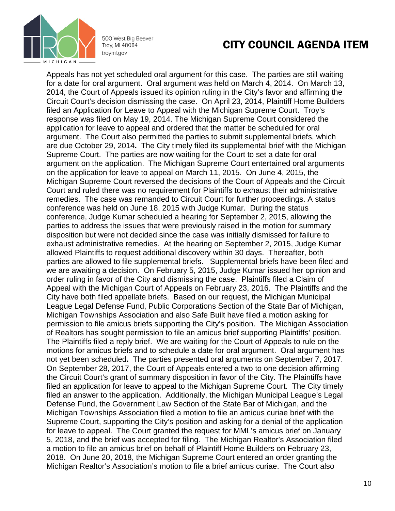

### CITY COUNCIL AGENDA ITEM

Appeals has not yet scheduled oral argument for this case. The parties are still waiting for a date for oral argument. Oral argument was held on March 4, 2014. On March 13, 2014, the Court of Appeals issued its opinion ruling in the City's favor and affirming the Circuit Court's decision dismissing the case. On April 23, 2014, Plaintiff Home Builders filed an Application for Leave to Appeal with the Michigan Supreme Court. Troy's response was filed on May 19, 2014. The Michigan Supreme Court considered the application for leave to appeal and ordered that the matter be scheduled for oral argument. The Court also permitted the parties to submit supplemental briefs, which are due October 29, 2014**.** The City timely filed its supplemental brief with the Michigan Supreme Court. The parties are now waiting for the Court to set a date for oral argument on the application. The Michigan Supreme Court entertained oral arguments on the application for leave to appeal on March 11, 2015. On June 4, 2015, the Michigan Supreme Court reversed the decisions of the Court of Appeals and the Circuit Court and ruled there was no requirement for Plaintiffs to exhaust their administrative remedies. The case was remanded to Circuit Court for further proceedings. A status conference was held on June 18, 2015 with Judge Kumar. During the status conference, Judge Kumar scheduled a hearing for September 2, 2015, allowing the parties to address the issues that were previously raised in the motion for summary disposition but were not decided since the case was initially dismissed for failure to exhaust administrative remedies.At the hearing on September 2, 2015, Judge Kumar allowed Plaintiffs to request additional discovery within 30 days. Thereafter, both parties are allowed to file supplemental briefs.Supplemental briefs have been filed and we are awaiting a decision. On February 5, 2015, Judge Kumar issued her opinion and order ruling in favor of the City and dismissing the case. Plaintiffs filed a Claim of Appeal with the Michigan Court of Appeals on February 23, 2016. The Plaintiffs and the City have both filed appellate briefs. Based on our request, the Michigan Municipal League Legal Defense Fund, Public Corporations Section of the State Bar of Michigan, Michigan Townships Association and also Safe Built have filed a motion asking for permission to file amicus briefs supporting the City's position. The Michigan Association of Realtors has sought permission to file an amicus brief supporting Plaintiffs' position. The Plaintiffs filed a reply brief. We are waiting for the Court of Appeals to rule on the motions for amicus briefs and to schedule a date for oral argument. Oral argument has not yet been scheduled**.** The parties presented oral arguments on September 7, 2017. On September 28, 2017, the Court of Appeals entered a two to one decision affirming the Circuit Court's grant of summary disposition in favor of the City. The Plaintiffs have filed an application for leave to appeal to the Michigan Supreme Court. The City timely filed an answer to the application. Additionally, the Michigan Municipal League's Legal Defense Fund, the Government Law Section of the State Bar of Michigan, and the Michigan Townships Association filed a motion to file an amicus curiae brief with the Supreme Court, supporting the City's position and asking for a denial of the application for leave to appeal. The Court granted the request for MML's amicus brief on January 5, 2018, and the brief was accepted for filing. The Michigan Realtor's Association filed a motion to file an amicus brief on behalf of Plaintiff Home Builders on February 23, 2018. On June 20, 2018, the Michigan Supreme Court entered an order granting the Michigan Realtor's Association's motion to file a brief amicus curiae. The Court also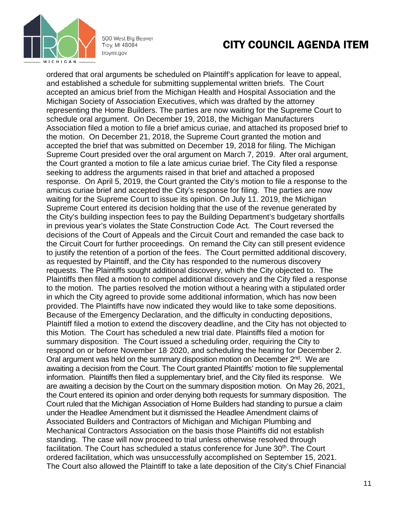

### CITY COUNCIL AGENDA ITEM

ordered that oral arguments be scheduled on Plaintiff's application for leave to appeal, and established a schedule for submitting supplemental written briefs. The Court accepted an amicus brief from the Michigan Health and Hospital Association and the Michigan Society of Association Executives, which was drafted by the attorney representing the Home Builders. The parties are now waiting for the Supreme Court to schedule oral argument. On December 19, 2018, the Michigan Manufacturers Association filed a motion to file a brief amicus curiae, and attached its proposed brief to the motion. On December 21, 2018, the Supreme Court granted the motion and accepted the brief that was submitted on December 19, 2018 for filing. The Michigan Supreme Court presided over the oral argument on March 7, 2019. After oral argument, the Court granted a motion to file a late amicus curiae brief. The City filed a response seeking to address the arguments raised in that brief and attached a proposed response. On April 5, 2019, the Court granted the City's motion to file a response to the amicus curiae brief and accepted the City's response for filing. The parties are now waiting for the Supreme Court to issue its opinion. On July 11. 2019, the Michigan Supreme Court entered its decision holding that the use of the revenue generated by the City's building inspection fees to pay the Building Department's budgetary shortfalls in previous year's violates the State Construction Code Act. The Court reversed the decisions of the Court of Appeals and the Circuit Court and remanded the case back to the Circuit Court for further proceedings. On remand the City can still present evidence to justify the retention of a portion of the fees.The Court permitted additional discovery, as requested by Plaintiff, and the City has responded to the numerous discovery requests. The Plaintiffs sought additional discovery, which the City objected to. The Plaintiffs then filed a motion to compel additional discovery and the City filed a response to the motion. The parties resolved the motion without a hearing with a stipulated order in which the City agreed to provide some additional information, which has now been provided. The Plaintiffs have now indicated they would like to take some depositions. Because of the Emergency Declaration, and the difficulty in conducting depositions, Plaintiff filed a motion to extend the discovery deadline, and the City has not objected to this Motion. The Court has scheduled a new trial date. Plaintiffs filed a motion for summary disposition. The Court issued a scheduling order, requiring the City to respond on or before November 18<sup>,</sup> 2020, and scheduling the hearing for December 2. Oral argument was held on the summary disposition motion on December 2<sup>nd</sup>. We are awaiting a decision from the Court. The Court granted Plaintiffs' motion to file supplemental information. Plaintiffs then filed a supplementary brief, and the City filed its response. We are awaiting a decision by the Court on the summary disposition motion. On May 26, 2021, the Court entered its opinion and order denying both requests for summary disposition. The Court ruled that the Michigan Association of Home Builders had standing to pursue a claim under the Headlee Amendment but it dismissed the Headlee Amendment claims of Associated Builders and Contractors of Michigan and Michigan Plumbing and Mechanical Contractors Association on the basis those Plaintiffs did not establish standing. The case will now proceed to trial unless otherwise resolved through facilitation. The Court has scheduled a status conference for June 30<sup>th</sup>. The Court ordered facilitation, which was unsuccessfully accomplished on September 15, 2021. The Court also allowed the Plaintiff to take a late deposition of the City's Chief Financial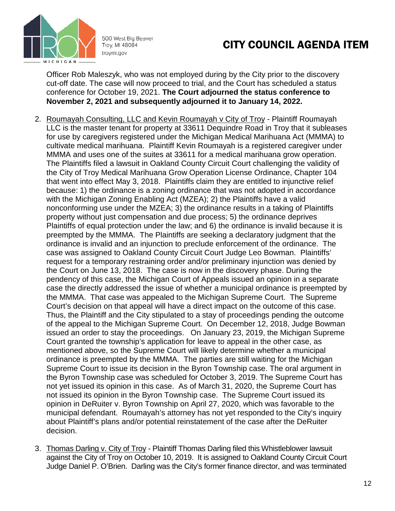

# CITY COUNCIL AGENDA ITEM

Officer Rob Maleszyk, who was not employed during by the City prior to the discovery cut-off date. The case will now proceed to trial, and the Court has scheduled a status conference for October 19, 2021. **The Court adjourned the status conference to November 2, 2021 and subsequently adjourned it to January 14, 2022.**

- 2. Roumayah Consulting, LLC and Kevin Roumayah v City of Troy Plaintiff Roumayah LLC is the master tenant for property at 33611 Dequindre Road in Troy that it subleases for use by caregivers registered under the Michigan Medical Marihuana Act (MMMA) to cultivate medical marihuana. Plaintiff Kevin Roumayah is a registered caregiver under MMMA and uses one of the suites at 33611 for a medical marihuana grow operation. The Plaintiffs filed a lawsuit in Oakland County Circuit Court challenging the validity of the City of Troy Medical Marihuana Grow Operation License Ordinance, Chapter 104 that went into effect May 3, 2018. Plaintiffs claim they are entitled to injunctive relief because: 1) the ordinance is a zoning ordinance that was not adopted in accordance with the Michigan Zoning Enabling Act (MZEA); 2) the Plaintiffs have a valid nonconforming use under the MZEA; 3) the ordinance results in a taking of Plaintiffs property without just compensation and due process; 5) the ordinance deprives Plaintiffs of equal protection under the law; and 6) the ordinance is invalid because it is preempted by the MMMA. The Plaintiffs are seeking a declaratory judgment that the ordinance is invalid and an injunction to preclude enforcement of the ordinance. The case was assigned to Oakland County Circuit Court Judge Leo Bowman. Plaintiffs' request for a temporary restraining order and/or preliminary injunction was denied by the Court on June 13, 2018. The case is now in the discovery phase. During the pendency of this case, the Michigan Court of Appeals issued an opinion in a separate case the directly addressed the issue of whether a municipal ordinance is preempted by the MMMA. That case was appealed to the Michigan Supreme Court. The Supreme Court's decision on that appeal will have a direct impact on the outcome of this case. Thus, the Plaintiff and the City stipulated to a stay of proceedings pending the outcome of the appeal to the Michigan Supreme Court. On December 12, 2018, Judge Bowman issued an order to stay the proceedings. On January 23, 2019, the Michigan Supreme Court granted the township's application for leave to appeal in the other case, as mentioned above, so the Supreme Court will likely determine whether a municipal ordinance is preempted by the MMMA. The parties are still waiting for the Michigan Supreme Court to issue its decision in the Byron Township case. The oral argument in the Byron Township case was scheduled for October 3, 2019. The Supreme Court has not yet issued its opinion in this case. As of March 31, 2020, the Supreme Court has not issued its opinion in the Byron Township case. The Supreme Court issued its opinion in DeRuiter v. Byron Township on April 27, 2020, which was favorable to the municipal defendant. Roumayah's attorney has not yet responded to the City's inquiry about Plaintiff's plans and/or potential reinstatement of the case after the DeRuiter decision.
- 3. Thomas Darling v. City of Troy Plaintiff Thomas Darling filed this Whistleblower lawsuit against the City of Troy on October 10, 2019. It is assigned to Oakland County Circuit Court Judge Daniel P. O'Brien. Darling was the City's former finance director, and was terminated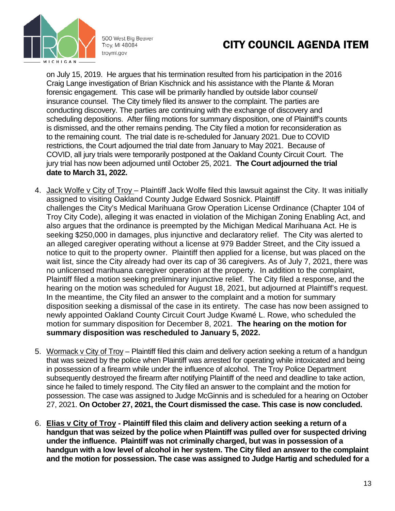

# CITY COUNCIL AGENDA ITEM

on July 15, 2019. He argues that his termination resulted from his participation in the 2016 Craig Lange investigation of Brian Kischnick and his assistance with the Plante & Moran forensic engagement. This case will be primarily handled by outside labor counsel/ insurance counsel. The City timely filed its answer to the complaint. The parties are conducting discovery. The parties are continuing with the exchange of discovery and scheduling depositions. After filing motions for summary disposition, one of Plaintiff's counts is dismissed, and the other remains pending. The City filed a motion for reconsideration as to the remaining count. The trial date is re-scheduled for January 2021. Due to COVID restrictions, the Court adjourned the trial date from January to May 2021. Because of COVID, all jury trials were temporarily postponed at the Oakland County Circuit Court. The jury trial has now been adjourned until October 25, 2021. **The Court adjourned the trial date to March 31, 2022.** 

- 4. Jack Wolfe v City of Troy Plaintiff Jack Wolfe filed this lawsuit against the City. It was initially assigned to visiting Oakland County Judge Edward Sosnick. Plaintiff challenges the City's Medical Marihuana Grow Operation License Ordinance (Chapter 104 of Troy City Code), alleging it was enacted in violation of the Michigan Zoning Enabling Act, and also argues that the ordinance is preempted by the Michigan Medical Marihuana Act. He is seeking \$250,000 in damages, plus injunctive and declaratory relief. The City was alerted to an alleged caregiver operating without a license at 979 Badder Street, and the City issued a notice to quit to the property owner. Plaintiff then applied for a license, but was placed on the wait list, since the City already had over its cap of 36 caregivers. As of July 7, 2021, there was no unlicensed marihuana caregiver operation at the property. In addition to the complaint, Plaintiff filed a motion seeking preliminary injunctive relief. The City filed a response, and the hearing on the motion was scheduled for August 18, 2021, but adjourned at Plaintiff's request. In the meantime, the City filed an answer to the complaint and a motion for summary disposition seeking a dismissal of the case in its entirety. The case has now been assigned to newly appointed Oakland County Circuit Court Judge Kwamé L. Rowe, who scheduled the motion for summary disposition for December 8, 2021. **The hearing on the motion for summary disposition was rescheduled to January 5, 2022.**
- 5. Wormack v City of Troy Plaintiff filed this claim and delivery action seeking a return of a handgun that was seized by the police when Plaintiff was arrested for operating while intoxicated and being in possession of a firearm while under the influence of alcohol. The Troy Police Department subsequently destroyed the firearm after notifying Plaintiff of the need and deadline to take action, since he failed to timely respond. The City filed an answer to the complaint and the motion for possession. The case was assigned to Judge McGinnis and is scheduled for a hearing on October 27, 2021. **On October 27, 2021, the Court dismissed the case. This case is now concluded.**
- 6. **Elias v City of Troy - Plaintiff filed this claim and delivery action seeking a return of a handgun that was seized by the police when Plaintiff was pulled over for suspected driving under the influence. Plaintiff was not criminally charged, but was in possession of a handgun with a low level of alcohol in her system. The City filed an answer to the complaint and the motion for possession. The case was assigned to Judge Hartig and scheduled for a**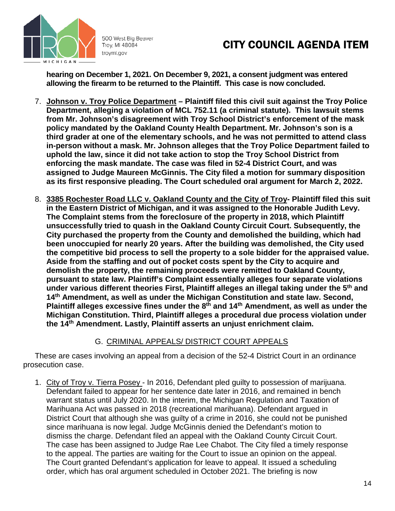

# CITY COUNCIL AGENDA ITEM

**hearing on December 1, 2021. On December 9, 2021, a consent judgment was entered allowing the firearm to be returned to the Plaintiff. This case is now concluded.**

- 7. **Johnson v. Troy Police Department – Plaintiff filed this civil suit against the Troy Police Department, alleging a violation of MCL 752.11 (a criminal statute). This lawsuit stems from Mr. Johnson's disagreement with Troy School District's enforcement of the mask policy mandated by the Oakland County Health Department. Mr. Johnson's son is a third grader at one of the elementary schools, and he was not permitted to attend class in-person without a mask. Mr. Johnson alleges that the Troy Police Department failed to uphold the law, since it did not take action to stop the Troy School District from enforcing the mask mandate. The case was filed in 52-4 District Court, and was assigned to Judge Maureen McGinnis. The City filed a motion for summary disposition as its first responsive pleading. The Court scheduled oral argument for March 2, 2022.**
- 8. **3385 Rochester Road LLC v. Oakland County and the City of Troy- Plaintiff filed this suit in the Eastern District of Michigan, and it was assigned to the Honorable Judith Levy. The Complaint stems from the foreclosure of the property in 2018, which Plaintiff unsuccessfully tried to quash in the Oakland County Circuit Court. Subsequently, the City purchased the property from the County and demolished the building, which had been unoccupied for nearly 20 years. After the building was demolished, the City used the competitive bid process to sell the property to a sole bidder for the appraised value. Aside from the staffing and out of pocket costs spent by the City to acquire and demolish the property, the remaining proceeds were remitted to Oakland County, pursuant to state law. Plaintiff's Complaint essentially alleges four separate violations under various different theories First, Plaintiff alleges an illegal taking under the 5th and 14th Amendment, as well as under the Michigan Constitution and state law. Second, Plaintiff alleges excessive fines under the 8th and 14th Amendment, as well as under the Michigan Constitution. Third, Plaintiff alleges a procedural due process violation under the 14th Amendment. Lastly, Plaintiff asserts an unjust enrichment claim.**

#### G. CRIMINAL APPEALS/ DISTRICT COURT APPEALS

These are cases involving an appeal from a decision of the 52-4 District Court in an ordinance prosecution case.

1. City of Troy v. Tierra Posey - In 2016, Defendant pled guilty to possession of marijuana. Defendant failed to appear for her sentence date later in 2016, and remained in bench warrant status until July 2020. In the interim, the Michigan Regulation and Taxation of Marihuana Act was passed in 2018 (recreational marihuana). Defendant argued in District Court that although she was guilty of a crime in 2016, she could not be punished since marihuana is now legal. Judge McGinnis denied the Defendant's motion to dismiss the charge. Defendant filed an appeal with the Oakland County Circuit Court. The case has been assigned to Judge Rae Lee Chabot. The City filed a timely response to the appeal. The parties are waiting for the Court to issue an opinion on the appeal. The Court granted Defendant's application for leave to appeal. It issued a scheduling order, which has oral argument scheduled in October 2021. The briefing is now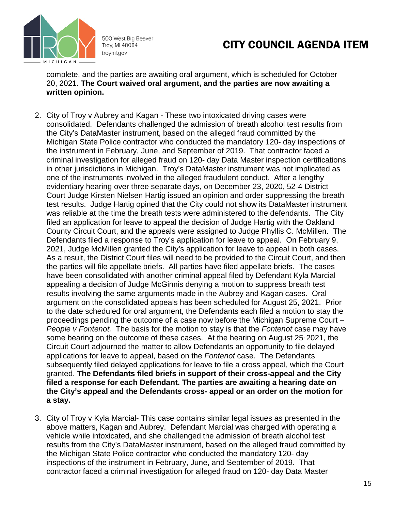

# CITY COUNCIL AGENDA ITEM

complete, and the parties are awaiting oral argument, which is scheduled for October 20, 2021. **The Court waived oral argument, and the parties are now awaiting a written opinion.**

- 2. City of Troy v Aubrey and Kagan These two intoxicated driving cases were consolidated. Defendants challenged the admission of breath alcohol test results from the City's DataMaster instrument, based on the alleged fraud committed by the Michigan State Police contractor who conducted the mandatory 120- day inspections of the instrument in February, June, and September of 2019. That contractor faced a criminal investigation for alleged fraud on 120- day Data Master inspection certifications in other jurisdictions in Michigan. Troy's DataMaster instrument was not implicated as one of the instruments involved in the alleged fraudulent conduct. After a lengthy evidentiary hearing over three separate days, on December 23, 2020, 52-4 District Court Judge Kirsten Nielsen Hartig issued an opinion and order suppressing the breath test results. Judge Hartig opined that the City could not show its DataMaster instrument was reliable at the time the breath tests were administered to the defendants. The City filed an application for leave to appeal the decision of Judge Hartig with the Oakland County Circuit Court, and the appeals were assigned to Judge Phyllis C. McMillen. The Defendants filed a response to Troy's application for leave to appeal. On February 9, 2021, Judge McMillen granted the City's application for leave to appeal in both cases. As a result, the District Court files will need to be provided to the Circuit Court, and then the parties will file appellate briefs. All parties have filed appellate briefs. The cases have been consolidated with another criminal appeal filed by Defendant Kyla Marcial appealing a decision of Judge McGinnis denying a motion to suppress breath test results involving the same arguments made in the Aubrey and Kagan cases. Oral argument on the consolidated appeals has been scheduled for August 25, 2021. Prior to the date scheduled for oral argument, the Defendants each filed a motion to stay the proceedings pending the outcome of a case now before the Michigan Supreme Court – *People v Fontenot.* The basis for the motion to stay is that the *Fontenot* case may have some bearing on the outcome of these cases. At the hearing on August 25 2021, the Circuit Court adjourned the matter to allow Defendants an opportunity to file delayed applications for leave to appeal, based on the *Fontenot* case. The Defendants subsequently filed delayed applications for leave to file a cross appeal, which the Court granted. **The Defendants filed briefs in support of their cross-appeal and the City filed a response for each Defendant. The parties are awaiting a hearing date on the City's appeal and the Defendants cross- appeal or an order on the motion for a stay.**
- 3. City of Troy v Kyla Marcial- This case contains similar legal issues as presented in the above matters, Kagan and Aubrey. Defendant Marcial was charged with operating a vehicle while intoxicated, and she challenged the admission of breath alcohol test results from the City's DataMaster instrument, based on the alleged fraud committed by the Michigan State Police contractor who conducted the mandatory 120- day inspections of the instrument in February, June, and September of 2019. That contractor faced a criminal investigation for alleged fraud on 120- day Data Master